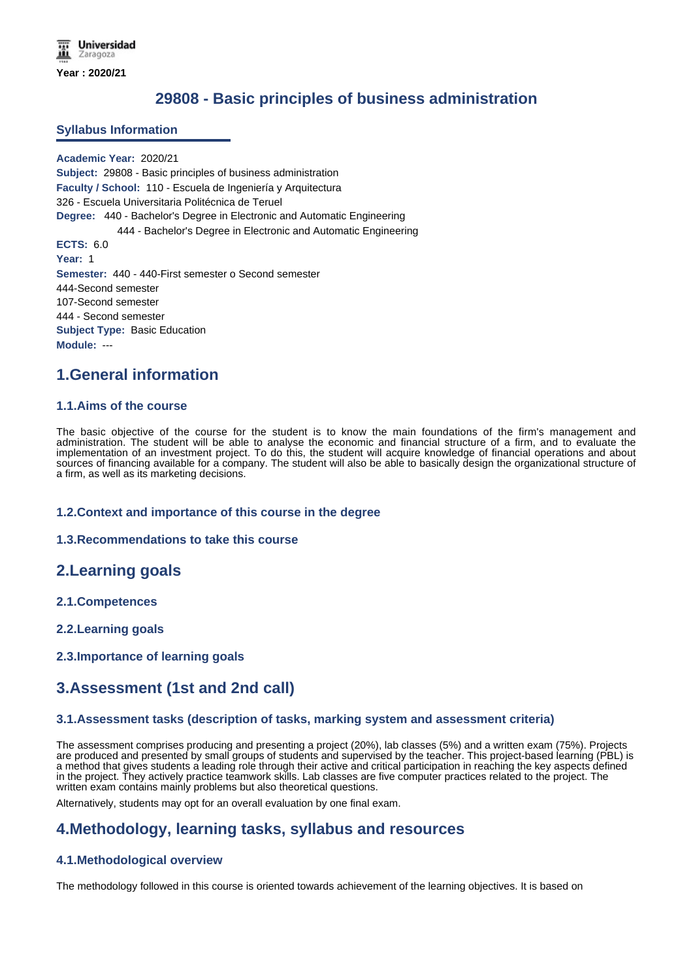# **29808 - Basic principles of business administration**

#### **Syllabus Information**

**Academic Year:** 2020/21 **Subject:** 29808 - Basic principles of business administration **Faculty / School:** 110 - Escuela de Ingeniería y Arquitectura 326 - Escuela Universitaria Politécnica de Teruel **Degree:** 440 - Bachelor's Degree in Electronic and Automatic Engineering 444 - Bachelor's Degree in Electronic and Automatic Engineering **ECTS:** 6.0 **Year:** 1 **Semester:** 440 - 440-First semester o Second semester 444-Second semester 107-Second semester 444 - Second semester **Subject Type:** Basic Education **Module:** ---

## **1.General information**

#### **1.1.Aims of the course**

The basic objective of the course for the student is to know the main foundations of the firm's management and administration. The student will be able to analyse the economic and financial structure of a firm, and to evaluate the implementation of an investment project. To do this, the student will acquire knowledge of financial operations and about sources of financing available for a company. The student will also be able to basically design the organizational structure of a firm, as well as its marketing decisions.

#### **1.2.Context and importance of this course in the degree**

#### **1.3.Recommendations to take this course**

### **2.Learning goals**

- **2.1.Competences**
- **2.2.Learning goals**
- **2.3.Importance of learning goals**

## **3.Assessment (1st and 2nd call)**

#### **3.1.Assessment tasks (description of tasks, marking system and assessment criteria)**

The assessment comprises producing and presenting a project (20%), lab classes (5%) and a written exam (75%). Projects are produced and presented by small groups of students and supervised by the teacher. This project-based learning (PBL) is a method that gives students a leading role through their active and critical participation in reaching the key aspects defined in the project. They actively practice teamwork skills. Lab classes are five computer practices related to the project. The written exam contains mainly problems but also theoretical questions.

Alternatively, students may opt for an overall evaluation by one final exam.

## **4.Methodology, learning tasks, syllabus and resources**

#### **4.1.Methodological overview**

The methodology followed in this course is oriented towards achievement of the learning objectives. It is based on